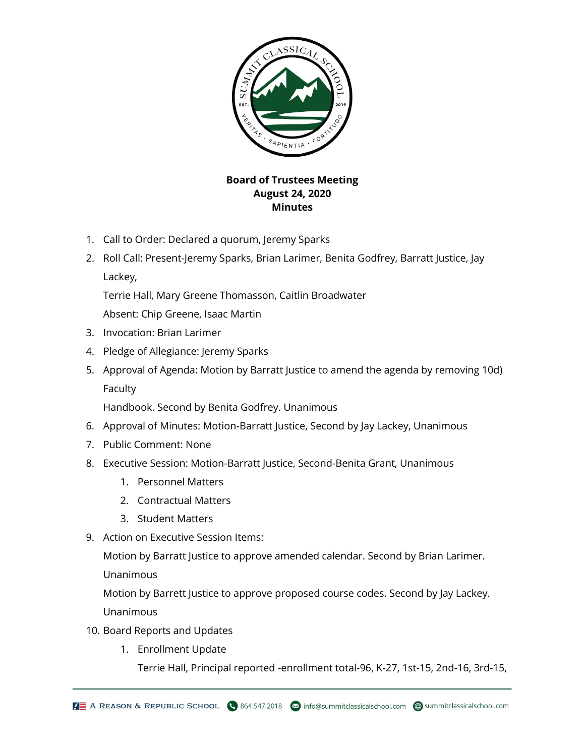

## **Board of Trustees Meeting August 24, 2020 Minutes**

- 1. Call to Order: Declared a quorum, Jeremy Sparks
- 2. Roll Call: Present-Jeremy Sparks, Brian Larimer, Benita Godfrey, Barratt Justice, Jay Lackey,

Terrie Hall, Mary Greene Thomasson, Caitlin Broadwater

Absent: Chip Greene, Isaac Martin

- 3. Invocation: Brian Larimer
- 4. Pledge of Allegiance: Jeremy Sparks
- 5. Approval of Agenda: Motion by Barratt Justice to amend the agenda by removing 10d) Faculty

Handbook. Second by Benita Godfrey. Unanimous

- 6. Approval of Minutes: Motion-Barratt Justice, Second by Jay Lackey, Unanimous
- 7. Public Comment: None
- 8. Executive Session: Motion-Barratt Justice, Second-Benita Grant, Unanimous
	- 1. Personnel Matters
	- 2. Contractual Matters
	- 3. Student Matters
- 9. Action on Executive Session Items:

Motion by Barratt Justice to approve amended calendar. Second by Brian Larimer.

Unanimous

Motion by Barrett Justice to approve proposed course codes. Second by Jay Lackey. Unanimous

- 10. Board Reports and Updates
	- 1. Enrollment Update

Terrie Hall, Principal reported -enrollment total-96, K-27, 1st-15, 2nd-16, 3rd-15,